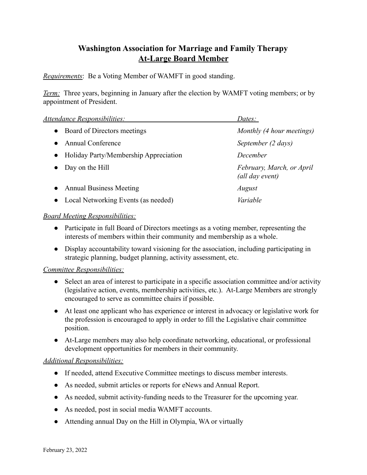## **Washington Association for Marriage and Family Therapy At-Large Board Member**

*Requirements*: Be a Voting Member of WAMFT in good standing.

*Term:* Three years, beginning in January after the election by WAMFT voting members; or by appointment of President.

| Attendance Responsibilities:                       | Dates:                                       |
|----------------------------------------------------|----------------------------------------------|
| Board of Directors meetings<br>$\bullet$           | Monthly (4 hour meetings)                    |
| <b>Annual Conference</b>                           | September (2 days)                           |
| Holiday Party/Membership Appreciation<br>$\bullet$ | December                                     |
| Day on the Hill                                    | February, March, or April<br>(all day event) |
| <b>Annual Business Meeting</b><br>$\bullet$        | August                                       |
| • Local Networking Events (as needed)              | Variable                                     |

## *Board Meeting Responsibilities:*

- Participate in full Board of Directors meetings as a voting member, representing the interests of members within their community and membership as a whole.
- Display accountability toward visioning for the association, including participating in strategic planning, budget planning, activity assessment, etc.

## *Committee Responsibilities:*

- Select an area of interest to participate in a specific association committee and/or activity (legislative action, events, membership activities, etc.). At-Large Members are strongly encouraged to serve as committee chairs if possible.
- At least one applicant who has experience or interest in advocacy or legislative work for the profession is encouraged to apply in order to fill the Legislative chair committee position.
- At-Large members may also help coordinate networking, educational, or professional development opportunities for members in their community.

## *Additional Responsibilities:*

- If needed, attend Executive Committee meetings to discuss member interests.
- As needed, submit articles or reports for eNews and Annual Report.
- As needed, submit activity-funding needs to the Treasurer for the upcoming year.
- As needed, post in social media WAMFT accounts.
- Attending annual Day on the Hill in Olympia, WA or virtually